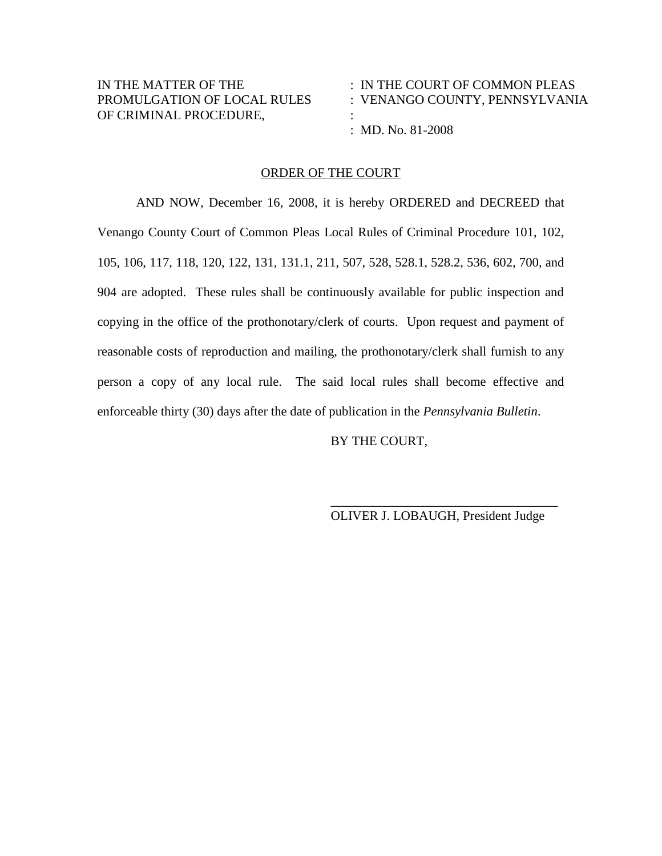| IN THE MATTER OF THE        | $\therefore$ IN THE COURT OF COMMON PLEAS |
|-----------------------------|-------------------------------------------|
| PROMULGATION OF LOCAL RULES | : VENANGO COUNTY, PENNSYLVANIA            |
| OF CRIMINAL PROCEDURE,      |                                           |
|                             | : MD. No. $81-2008$                       |

## ORDER OF THE COURT

AND NOW, December 16, 2008, it is hereby ORDERED and DECREED that Venango County Court of Common Pleas Local Rules of Criminal Procedure 101, 102, 105, 106, 117, 118, 120, 122, 131, 131.1, 211, 507, 528, 528.1, 528.2, 536, 602, 700, and 904 are adopted. These rules shall be continuously available for public inspection and copying in the office of the prothonotary/clerk of courts. Upon request and payment of reasonable costs of reproduction and mailing, the prothonotary/clerk shall furnish to any person a copy of any local rule. The said local rules shall become effective and enforceable thirty (30) days after the date of publication in the *Pennsylvania Bulletin*.

BY THE COURT,

\_\_\_\_\_\_\_\_\_\_\_\_\_\_\_\_\_\_\_\_\_\_\_\_\_\_\_\_\_\_\_\_\_\_\_ OLIVER J. LOBAUGH, President Judge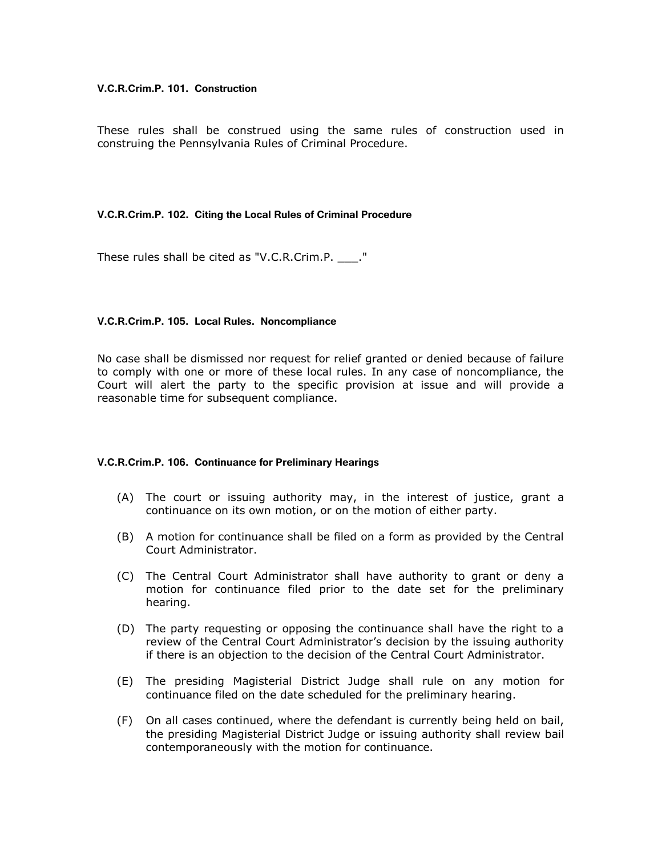#### **V.C.R.Crim.P. 101. Construction**

These rules shall be construed using the same rules of construction used in construing the Pennsylvania Rules of Criminal Procedure.

#### **V.C.R.Crim.P. 102. Citing the Local Rules of Criminal Procedure**

These rules shall be cited as "V.C.R.Crim.P. \_\_\_."

## **V.C.R.Crim.P. 105. Local Rules. Noncompliance**

No case shall be dismissed nor request for relief granted or denied because of failure to comply with one or more of these local rules. In any case of noncompliance, the Court will alert the party to the specific provision at issue and will provide a reasonable time for subsequent compliance.

#### **V.C.R.Crim.P. 106. Continuance for Preliminary Hearings**

- (A) The court or issuing authority may, in the interest of justice, grant a continuance on its own motion, or on the motion of either party.
- (B) A motion for continuance shall be filed on a form as provided by the Central Court Administrator.
- (C) The Central Court Administrator shall have authority to grant or deny a motion for continuance filed prior to the date set for the preliminary hearing.
- (D) The party requesting or opposing the continuance shall have the right to a review of the Central Court Administrator's decision by the issuing authority if there is an objection to the decision of the Central Court Administrator.
- (E) The presiding Magisterial District Judge shall rule on any motion for continuance filed on the date scheduled for the preliminary hearing.
- (F) On all cases continued, where the defendant is currently being held on bail, the presiding Magisterial District Judge or issuing authority shall review bail contemporaneously with the motion for continuance.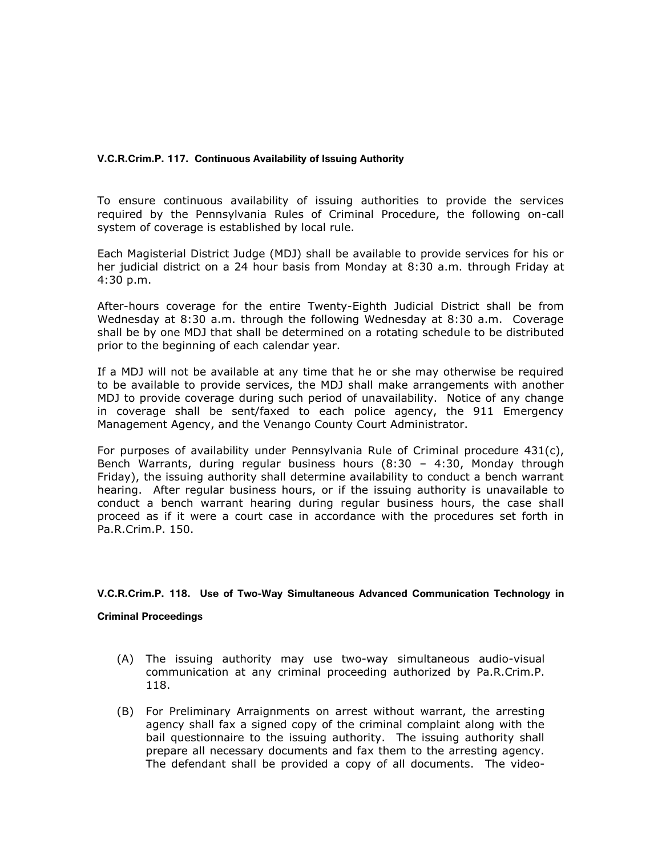## **V.C.R.Crim.P. 117. Continuous Availability of Issuing Authority**

To ensure continuous availability of issuing authorities to provide the services required by the Pennsylvania Rules of Criminal Procedure, the following on-call system of coverage is established by local rule.

Each Magisterial District Judge (MDJ) shall be available to provide services for his or her judicial district on a 24 hour basis from Monday at 8:30 a.m. through Friday at 4:30 p.m.

After-hours coverage for the entire Twenty-Eighth Judicial District shall be from Wednesday at 8:30 a.m. through the following Wednesday at 8:30 a.m. Coverage shall be by one MDJ that shall be determined on a rotating schedule to be distributed prior to the beginning of each calendar year.

If a MDJ will not be available at any time that he or she may otherwise be required to be available to provide services, the MDJ shall make arrangements with another MDJ to provide coverage during such period of unavailability. Notice of any change in coverage shall be sent/faxed to each police agency, the 911 Emergency Management Agency, and the Venango County Court Administrator.

For purposes of availability under Pennsylvania Rule of Criminal procedure  $431(c)$ , Bench Warrants, during regular business hours (8:30 – 4:30, Monday through Friday), the issuing authority shall determine availability to conduct a bench warrant hearing. After regular business hours, or if the issuing authority is unavailable to conduct a bench warrant hearing during regular business hours, the case shall proceed as if it were a court case in accordance with the procedures set forth in Pa.R.Crim.P. 150.

#### **V.C.R.Crim.P. 118. Use of Two-Way Simultaneous Advanced Communication Technology in**

#### **Criminal Proceedings**

- (A) The issuing authority may use two-way simultaneous audio-visual communication at any criminal proceeding authorized by Pa.R.Crim.P. 118.
- (B) For Preliminary Arraignments on arrest without warrant, the arresting agency shall fax a signed copy of the criminal complaint along with the bail questionnaire to the issuing authority. The issuing authority shall prepare all necessary documents and fax them to the arresting agency. The defendant shall be provided a copy of all documents. The video-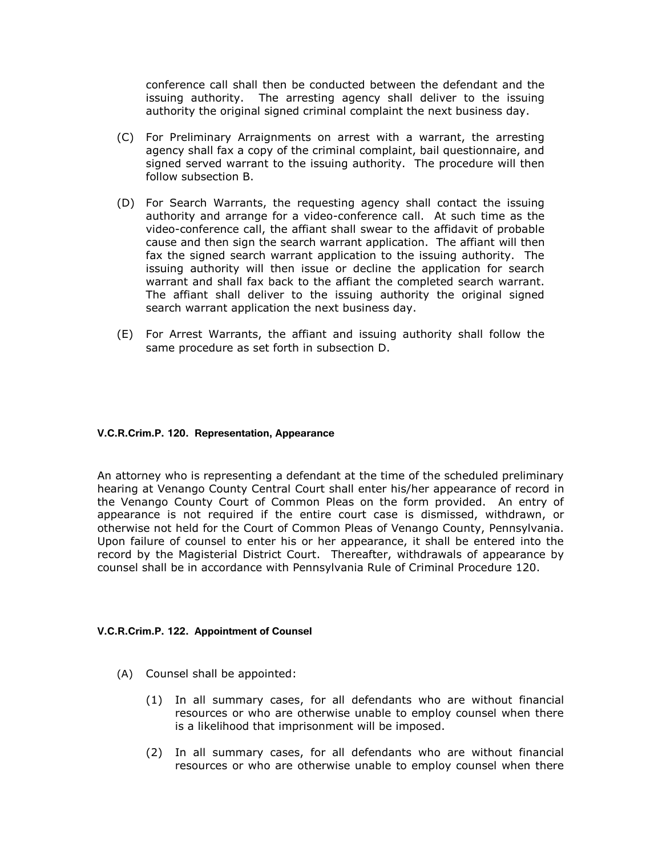conference call shall then be conducted between the defendant and the issuing authority. The arresting agency shall deliver to the issuing authority the original signed criminal complaint the next business day.

- (C) For Preliminary Arraignments on arrest with a warrant, the arresting agency shall fax a copy of the criminal complaint, bail questionnaire, and signed served warrant to the issuing authority. The procedure will then follow subsection B.
- (D) For Search Warrants, the requesting agency shall contact the issuing authority and arrange for a video-conference call. At such time as the video-conference call, the affiant shall swear to the affidavit of probable cause and then sign the search warrant application. The affiant will then fax the signed search warrant application to the issuing authority. The issuing authority will then issue or decline the application for search warrant and shall fax back to the affiant the completed search warrant. The affiant shall deliver to the issuing authority the original signed search warrant application the next business day.
- (E) For Arrest Warrants, the affiant and issuing authority shall follow the same procedure as set forth in subsection D.

## **V.C.R.Crim.P. 120. Representation, Appearance**

An attorney who is representing a defendant at the time of the scheduled preliminary hearing at Venango County Central Court shall enter his/her appearance of record in the Venango County Court of Common Pleas on the form provided. An entry of appearance is not required if the entire court case is dismissed, withdrawn, or otherwise not held for the Court of Common Pleas of Venango County, Pennsylvania. Upon failure of counsel to enter his or her appearance, it shall be entered into the record by the Magisterial District Court. Thereafter, withdrawals of appearance by counsel shall be in accordance with Pennsylvania Rule of Criminal Procedure 120.

#### **V.C.R.Crim.P. 122. Appointment of Counsel**

- (A) Counsel shall be appointed:
	- (1) In all summary cases, for all defendants who are without financial resources or who are otherwise unable to employ counsel when there is a likelihood that imprisonment will be imposed.
	- (2) In all summary cases, for all defendants who are without financial resources or who are otherwise unable to employ counsel when there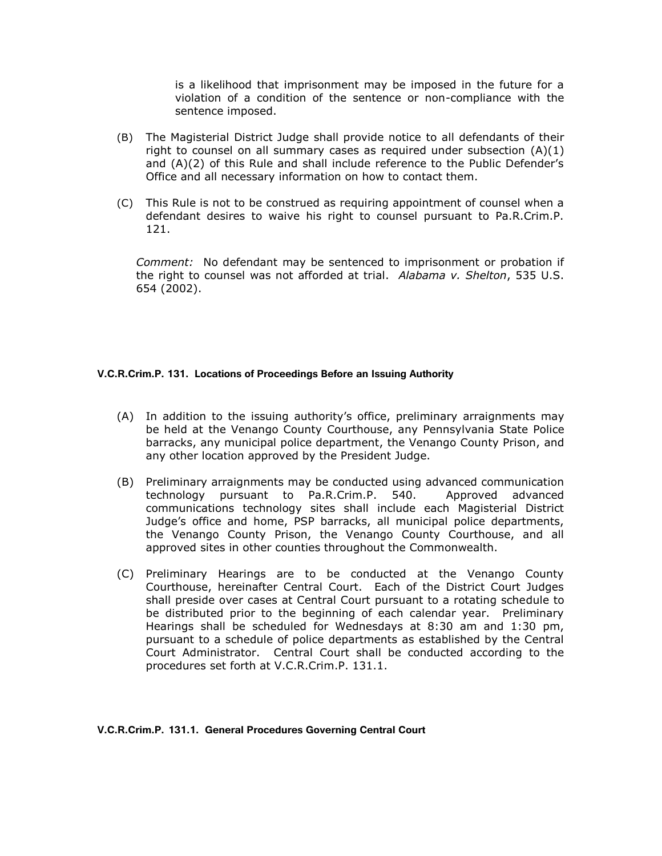is a likelihood that imprisonment may be imposed in the future for a violation of a condition of the sentence or non-compliance with the sentence imposed.

- (B) The Magisterial District Judge shall provide notice to all defendants of their right to counsel on all summary cases as required under subsection  $(A)(1)$ and (A)(2) of this Rule and shall include reference to the Public Defender's Office and all necessary information on how to contact them.
- (C) This Rule is not to be construed as requiring appointment of counsel when a defendant desires to waive his right to counsel pursuant to Pa.R.Crim.P. 121.

*Comment:*No defendant may be sentenced to imprisonment or probation if the right to counsel was not afforded at trial. *Alabama v. Shelton*, 535 U.S. 654 (2002).

## **V.C.R.Crim.P. 131. Locations of Proceedings Before an Issuing Authority**

- (A) In addition to the issuing authority's office, preliminary arraignments may be held at the Venango County Courthouse, any Pennsylvania State Police barracks, any municipal police department, the Venango County Prison, and any other location approved by the President Judge.
- (B) Preliminary arraignments may be conducted using advanced communication technology pursuant to Pa.R.Crim.P. 540. Approved advanced communications technology sites shall include each Magisterial District Judge's office and home, PSP barracks, all municipal police departments, the Venango County Prison, the Venango County Courthouse, and all approved sites in other counties throughout the Commonwealth.
- (C) Preliminary Hearings are to be conducted at the Venango County Courthouse, hereinafter Central Court. Each of the District Court Judges shall preside over cases at Central Court pursuant to a rotating schedule to be distributed prior to the beginning of each calendar year. Preliminary Hearings shall be scheduled for Wednesdays at 8:30 am and 1:30 pm, pursuant to a schedule of police departments as established by the Central Court Administrator. Central Court shall be conducted according to the procedures set forth at V.C.R.Crim.P. 131.1.

**V.C.R.Crim.P. 131.1. General Procedures Governing Central Court**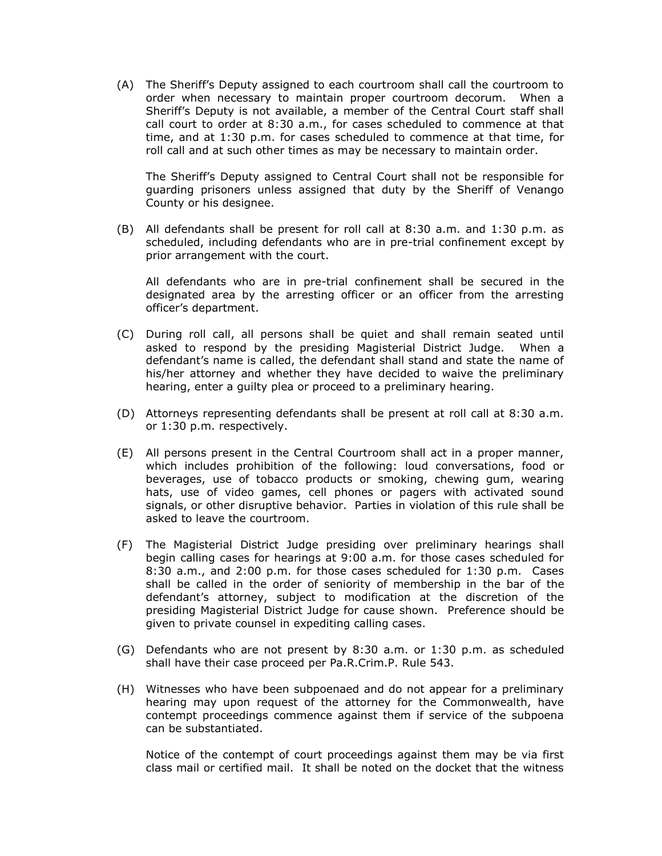(A) The Sheriff's Deputy assigned to each courtroom shall call the courtroom to order when necessary to maintain proper courtroom decorum. When a Sheriff's Deputy is not available, a member of the Central Court staff shall call court to order at 8:30 a.m., for cases scheduled to commence at that time, and at 1:30 p.m. for cases scheduled to commence at that time, for roll call and at such other times as may be necessary to maintain order.

The Sheriff's Deputy assigned to Central Court shall not be responsible for guarding prisoners unless assigned that duty by the Sheriff of Venango County or his designee.

(B) All defendants shall be present for roll call at 8:30 a.m. and 1:30 p.m. as scheduled, including defendants who are in pre-trial confinement except by prior arrangement with the court.

All defendants who are in pre-trial confinement shall be secured in the designated area by the arresting officer or an officer from the arresting officer's department.

- (C) During roll call, all persons shall be quiet and shall remain seated until asked to respond by the presiding Magisterial District Judge. When a defendant's name is called, the defendant shall stand and state the name of his/her attorney and whether they have decided to waive the preliminary hearing, enter a guilty plea or proceed to a preliminary hearing.
- (D) Attorneys representing defendants shall be present at roll call at 8:30 a.m. or 1:30 p.m. respectively.
- (E) All persons present in the Central Courtroom shall act in a proper manner, which includes prohibition of the following: loud conversations, food or beverages, use of tobacco products or smoking, chewing gum, wearing hats, use of video games, cell phones or pagers with activated sound signals, or other disruptive behavior. Parties in violation of this rule shall be asked to leave the courtroom.
- (F) The Magisterial District Judge presiding over preliminary hearings shall begin calling cases for hearings at 9:00 a.m. for those cases scheduled for 8:30 a.m., and 2:00 p.m. for those cases scheduled for 1:30 p.m. Cases shall be called in the order of seniority of membership in the bar of the defendant's attorney, subject to modification at the discretion of the presiding Magisterial District Judge for cause shown. Preference should be given to private counsel in expediting calling cases.
- (G) Defendants who are not present by 8:30 a.m. or 1:30 p.m. as scheduled shall have their case proceed per Pa.R.Crim.P. Rule 543.
- (H) Witnesses who have been subpoenaed and do not appear for a preliminary hearing may upon request of the attorney for the Commonwealth, have contempt proceedings commence against them if service of the subpoena can be substantiated.

Notice of the contempt of court proceedings against them may be via first class mail or certified mail. It shall be noted on the docket that the witness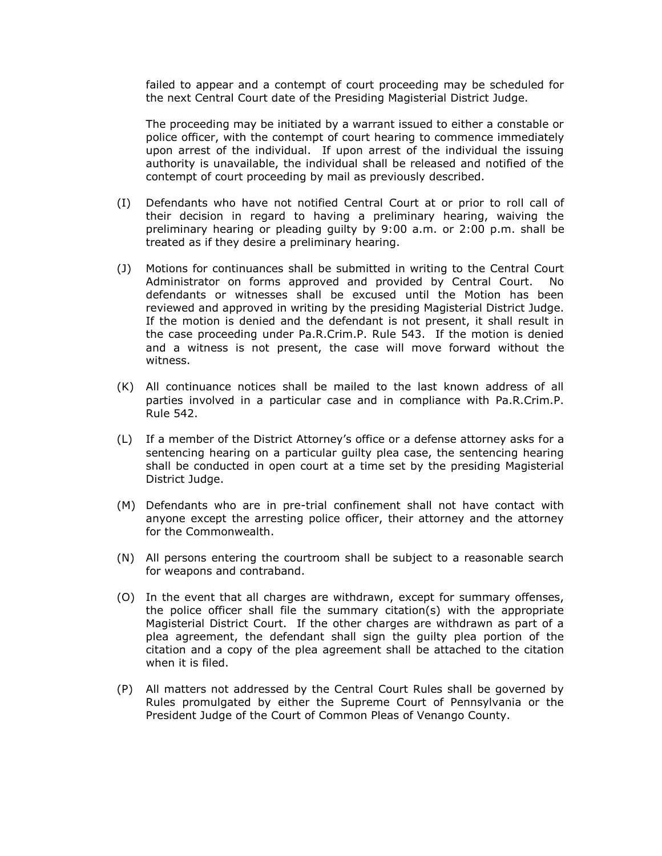failed to appear and a contempt of court proceeding may be scheduled for the next Central Court date of the Presiding Magisterial District Judge.

The proceeding may be initiated by a warrant issued to either a constable or police officer, with the contempt of court hearing to commence immediately upon arrest of the individual. If upon arrest of the individual the issuing authority is unavailable, the individual shall be released and notified of the contempt of court proceeding by mail as previously described.

- (I) Defendants who have not notified Central Court at or prior to roll call of their decision in regard to having a preliminary hearing, waiving the preliminary hearing or pleading guilty by 9:00 a.m. or 2:00 p.m. shall be treated as if they desire a preliminary hearing.
- (J) Motions for continuances shall be submitted in writing to the Central Court Administrator on forms approved and provided by Central Court. No defendants or witnesses shall be excused until the Motion has been reviewed and approved in writing by the presiding Magisterial District Judge. If the motion is denied and the defendant is not present, it shall result in the case proceeding under Pa.R.Crim.P. Rule 543. If the motion is denied and a witness is not present, the case will move forward without the witness.
- (K) All continuance notices shall be mailed to the last known address of all parties involved in a particular case and in compliance with Pa.R.Crim.P. Rule 542.
- (L) If a member of the District Attorney's office or a defense attorney asks for a sentencing hearing on a particular guilty plea case, the sentencing hearing shall be conducted in open court at a time set by the presiding Magisterial District Judge.
- (M) Defendants who are in pre-trial confinement shall not have contact with anyone except the arresting police officer, their attorney and the attorney for the Commonwealth.
- (N) All persons entering the courtroom shall be subject to a reasonable search for weapons and contraband.
- (O) In the event that all charges are withdrawn, except for summary offenses, the police officer shall file the summary citation(s) with the appropriate Magisterial District Court. If the other charges are withdrawn as part of a plea agreement, the defendant shall sign the guilty plea portion of the citation and a copy of the plea agreement shall be attached to the citation when it is filed.
- (P) All matters not addressed by the Central Court Rules shall be governed by Rules promulgated by either the Supreme Court of Pennsylvania or the President Judge of the Court of Common Pleas of Venango County.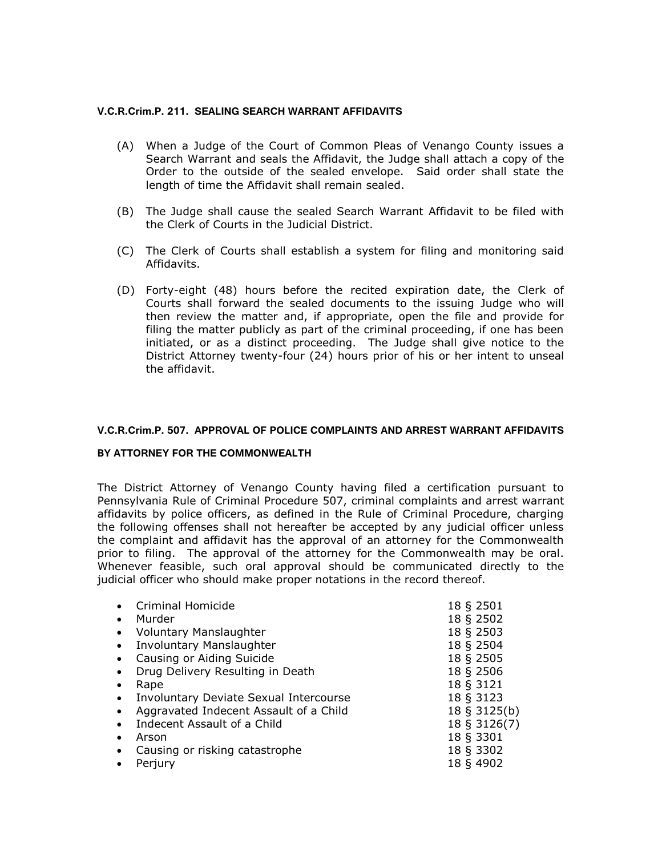## **V.C.R.Crim.P. 211. SEALING SEARCH WARRANT AFFIDAVITS**

- (A) When a Judge of the Court of Common Pleas of Venango County issues a Search Warrant and seals the Affidavit, the Judge shall attach a copy of the Order to the outside of the sealed envelope. Said order shall state the length of time the Affidavit shall remain sealed.
- (B) The Judge shall cause the sealed Search Warrant Affidavit to be filed with the Clerk of Courts in the Judicial District.
- (C) The Clerk of Courts shall establish a system for filing and monitoring said Affidavits.
- (D) Forty-eight (48) hours before the recited expiration date, the Clerk of Courts shall forward the sealed documents to the issuing Judge who will then review the matter and, if appropriate, open the file and provide for filing the matter publicly as part of the criminal proceeding, if one has been initiated, or as a distinct proceeding. The Judge shall give notice to the District Attorney twenty-four (24) hours prior of his or her intent to unseal the affidavit.

## **V.C.R.Crim.P. 507. APPROVAL OF POLICE COMPLAINTS AND ARREST WARRANT AFFIDAVITS**

#### **BY ATTORNEY FOR THE COMMONWEALTH**

The District Attorney of Venango County having filed a certification pursuant to Pennsylvania Rule of Criminal Procedure 507, criminal complaints and arrest warrant affidavits by police officers, as defined in the Rule of Criminal Procedure, charging the following offenses shall not hereafter be accepted by any judicial officer unless the complaint and affidavit has the approval of an attorney for the Commonwealth prior to filing. The approval of the attorney for the Commonwealth may be oral. Whenever feasible, such oral approval should be communicated directly to the judicial officer who should make proper notations in the record thereof.

|           | Criminal Homicide                      | 18 § 2501    |
|-----------|----------------------------------------|--------------|
|           | Murder                                 | 18 § 2502    |
| $\bullet$ | <b>Voluntary Manslaughter</b>          | 18 § 2503    |
| $\bullet$ | Involuntary Manslaughter               | 18 § 2504    |
|           | Causing or Aiding Suicide              | 18 § 2505    |
|           | Drug Delivery Resulting in Death       | 18 § 2506    |
|           | Rape                                   | 18 § 3121    |
| $\bullet$ | Involuntary Deviate Sexual Intercourse | 18 § 3123    |
| $\bullet$ | Aggravated Indecent Assault of a Child | 18 § 3125(b) |
|           | Indecent Assault of a Child            | 18 § 3126(7) |
|           | Arson                                  | 18 § 3301    |
|           | Causing or risking catastrophe         | 18 § 3302    |
|           | Perjury                                | 18 § 4902    |
|           |                                        |              |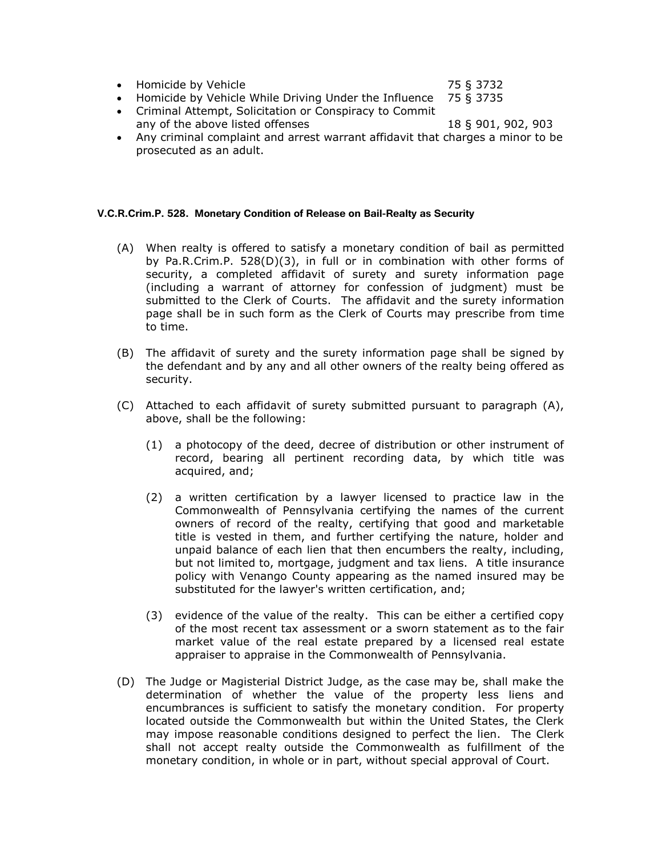● Homicide by Vehicle 75 § 3732

- Homicide by Vehicle While Driving Under the Influence 75 § 3735
- Criminal Attempt, Solicitation or Conspiracy to Commit any of the above listed offenses 18 § 901, 902, 903
- Any criminal complaint and arrest warrant affidavit that charges a minor to be prosecuted as an adult.

#### **V.C.R.Crim.P. 528. Monetary Condition of Release on Bail-Realty as Security**

- (A) When realty is offered to satisfy a monetary condition of bail as permitted by Pa.R.Crim.P. 528(D)(3), in full or in combination with other forms of security, a completed affidavit of surety and surety information page (including a warrant of attorney for confession of judgment) must be submitted to the Clerk of Courts. The affidavit and the surety information page shall be in such form as the Clerk of Courts may prescribe from time to time.
- (B) The affidavit of surety and the surety information page shall be signed by the defendant and by any and all other owners of the realty being offered as security.
- (C) Attached to each affidavit of surety submitted pursuant to paragraph (A), above, shall be the following:
	- (1) a photocopy of the deed, decree of distribution or other instrument of record, bearing all pertinent recording data, by which title was acquired, and;
	- (2) a written certification by a lawyer licensed to practice law in the Commonwealth of Pennsylvania certifying the names of the current owners of record of the realty, certifying that good and marketable title is vested in them, and further certifying the nature, holder and unpaid balance of each lien that then encumbers the realty, including, but not limited to, mortgage, judgment and tax liens. A title insurance policy with Venango County appearing as the named insured may be substituted for the lawyer's written certification, and;
	- (3) evidence of the value of the realty. This can be either a certified copy of the most recent tax assessment or a sworn statement as to the fair market value of the real estate prepared by a licensed real estate appraiser to appraise in the Commonwealth of Pennsylvania.
- (D) The Judge or Magisterial District Judge, as the case may be, shall make the determination of whether the value of the property less liens and encumbrances is sufficient to satisfy the monetary condition. For property located outside the Commonwealth but within the United States, the Clerk may impose reasonable conditions designed to perfect the lien. The Clerk shall not accept realty outside the Commonwealth as fulfillment of the monetary condition, in whole or in part, without special approval of Court.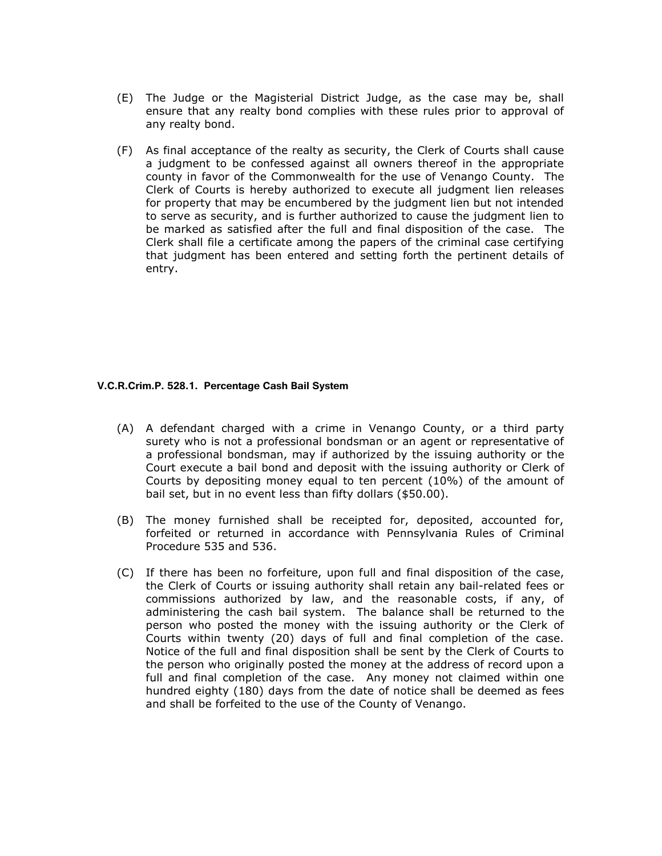- (E) The Judge or the Magisterial District Judge, as the case may be, shall ensure that any realty bond complies with these rules prior to approval of any realty bond.
- (F) As final acceptance of the realty as security, the Clerk of Courts shall cause a judgment to be confessed against all owners thereof in the appropriate county in favor of the Commonwealth for the use of Venango County. The Clerk of Courts is hereby authorized to execute all judgment lien releases for property that may be encumbered by the judgment lien but not intended to serve as security, and is further authorized to cause the judgment lien to be marked as satisfied after the full and final disposition of the case. The Clerk shall file a certificate among the papers of the criminal case certifying that judgment has been entered and setting forth the pertinent details of entry.

#### **V.C.R.Crim.P. 528.1. Percentage Cash Bail System**

- (A) A defendant charged with a crime in Venango County, or a third party surety who is not a professional bondsman or an agent or representative of a professional bondsman, may if authorized by the issuing authority or the Court execute a bail bond and deposit with the issuing authority or Clerk of Courts by depositing money equal to ten percent (10%) of the amount of bail set, but in no event less than fifty dollars (\$50.00).
- (B) The money furnished shall be receipted for, deposited, accounted for, forfeited or returned in accordance with Pennsylvania Rules of Criminal Procedure 535 and [536.](http://web2.westlaw.com/find/default.wl?DB=1000262&DocName=PASTRCRPR536&FindType=L&AP=&fn=_top&rs=WLW6.06&mt=Pennsylvania&vr=2.0&sv=Split)
- (C) If there has been no forfeiture, upon full and final disposition of the case, the Clerk of Courts or issuing authority shall retain any bail-related fees or commissions authorized by law, and the reasonable costs, if any, of administering the cash bail system. The balance shall be returned to the person who posted the money with the issuing authority or the Clerk of Courts within twenty (20) days of full and final completion of the case. Notice of the full and final disposition shall be sent by the Clerk of Courts to the person who originally posted the money at the address of record upon a full and final completion of the case. Any money not claimed within one hundred eighty (180) days from the date of notice shall be deemed as fees and shall be forfeited to the use of the County of Venango.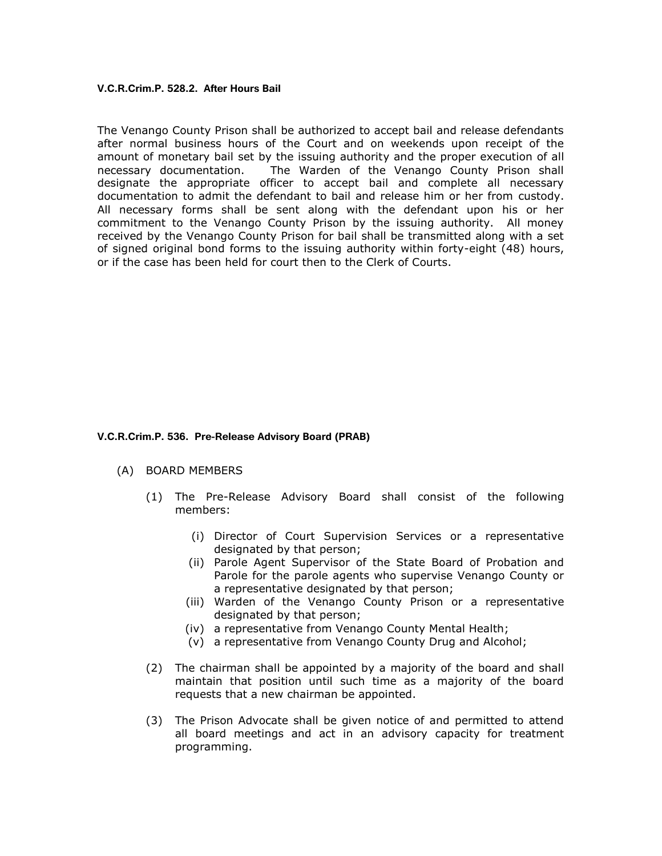#### **V.C.R.Crim.P. 528.2. After Hours Bail**

The Venango County Prison shall be authorized to accept bail and release defendants after normal business hours of the Court and on weekends upon receipt of the amount of monetary bail set by the issuing authority and the proper execution of all necessary documentation. The Warden of the Venango County Prison shall designate the appropriate officer to accept bail and complete all necessary documentation to admit the defendant to bail and release him or her from custody. All necessary forms shall be sent along with the defendant upon his or her commitment to the Venango County Prison by the issuing authority. All money received by the Venango County Prison for bail shall be transmitted along with a set of signed original bond forms to the issuing authority within forty-eight (48) hours, or if the case has been held for court then to the Clerk of Courts.

#### **V.C.R.Crim.P. 536. Pre-Release Advisory Board (PRAB)**

#### (A) BOARD MEMBERS

- (1) The Pre-Release Advisory Board shall consist of the following members:
	- (i) Director of Court Supervision Services or a representative designated by that person;
	- (ii) Parole Agent Supervisor of the State Board of Probation and Parole for the parole agents who supervise Venango County or a representative designated by that person;
	- (iii) Warden of the Venango County Prison or a representative designated by that person;
	- (iv) a representative from Venango County Mental Health;
	- (v) a representative from Venango County Drug and Alcohol;
- (2) The chairman shall be appointed by a majority of the board and shall maintain that position until such time as a majority of the board requests that a new chairman be appointed.
- (3) The Prison Advocate shall be given notice of and permitted to attend all board meetings and act in an advisory capacity for treatment programming.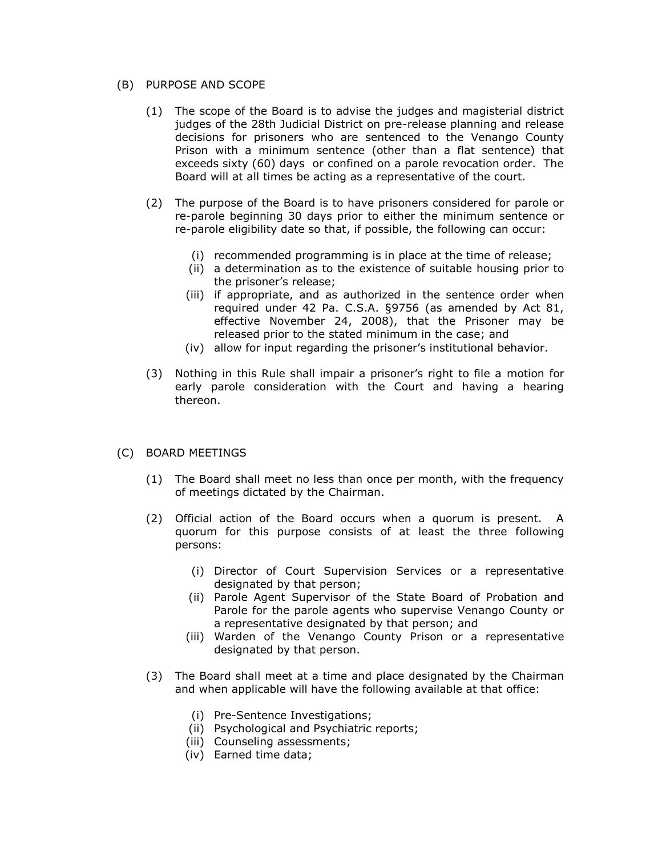## (B) PURPOSE AND SCOPE

- (1) The scope of the Board is to advise the judges and magisterial district judges of the 28th Judicial District on pre-release planning and release decisions for prisoners who are sentenced to the Venango County Prison with a minimum sentence (other than a flat sentence) that exceeds sixty (60) days or confined on a parole revocation order. The Board will at all times be acting as a representative of the court.
- (2) The purpose of the Board is to have prisoners considered for parole or re-parole beginning 30 days prior to either the minimum sentence or re-parole eligibility date so that, if possible, the following can occur:
	- (i) recommended programming is in place at the time of release;
	- (ii) a determination as to the existence of suitable housing prior to the prisoner's release;
	- (iii) if appropriate, and as authorized in the sentence order when required under 42 Pa. C.S.A. §9756 (as amended by Act 81, effective November 24, 2008), that the Prisoner may be released prior to the stated minimum in the case; and
	- (iv) allow for input regarding the prisoner's institutional behavior.
- (3) Nothing in this Rule shall impair a prisoner's right to file a motion for early parole consideration with the Court and having a hearing thereon.

## (C) BOARD MEETINGS

- (1) The Board shall meet no less than once per month, with the frequency of meetings dictated by the Chairman.
- (2) Official action of the Board occurs when a quorum is present. A quorum for this purpose consists of at least the three following persons:
	- (i) Director of Court Supervision Services or a representative designated by that person;
	- (ii) Parole Agent Supervisor of the State Board of Probation and Parole for the parole agents who supervise Venango County or a representative designated by that person; and
	- (iii) Warden of the Venango County Prison or a representative designated by that person.
- (3) The Board shall meet at a time and place designated by the Chairman and when applicable will have the following available at that office:
	- (i) Pre-Sentence Investigations;
	- (ii) Psychological and Psychiatric reports;
	- (iii) Counseling assessments;
	- (iv) Earned time data;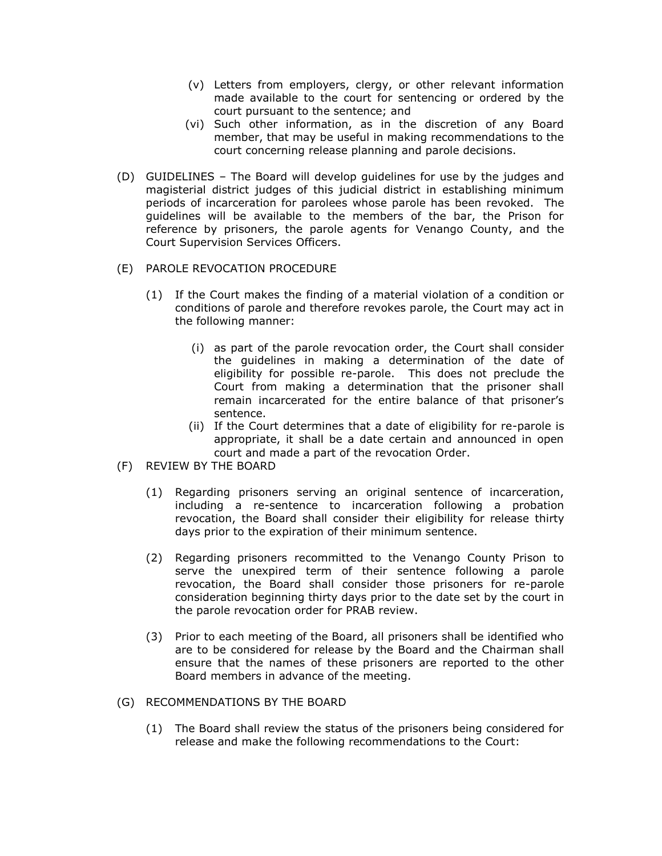- (v) Letters from employers, clergy, or other relevant information made available to the court for sentencing or ordered by the court pursuant to the sentence; and
- (vi) Such other information, as in the discretion of any Board member, that may be useful in making recommendations to the court concerning release planning and parole decisions.
- (D) GUIDELINES The Board will develop guidelines for use by the judges and magisterial district judges of this judicial district in establishing minimum periods of incarceration for parolees whose parole has been revoked. The guidelines will be available to the members of the bar, the Prison for reference by prisoners, the parole agents for Venango County, and the Court Supervision Services Officers.
- (E) PAROLE REVOCATION PROCEDURE
	- (1) If the Court makes the finding of a material violation of a condition or conditions of parole and therefore revokes parole, the Court may act in the following manner:
		- (i) as part of the parole revocation order, the Court shall consider the guidelines in making a determination of the date of eligibility for possible re-parole. This does not preclude the Court from making a determination that the prisoner shall remain incarcerated for the entire balance of that prisoner's sentence.
		- (ii) If the Court determines that a date of eligibility for re-parole is appropriate, it shall be a date certain and announced in open court and made a part of the revocation Order.
- (F) REVIEW BY THE BOARD
	- (1) Regarding prisoners serving an original sentence of incarceration, including a re-sentence to incarceration following a probation revocation, the Board shall consider their eligibility for release thirty days prior to the expiration of their minimum sentence.
	- (2) Regarding prisoners recommitted to the Venango County Prison to serve the unexpired term of their sentence following a parole revocation, the Board shall consider those prisoners for re-parole consideration beginning thirty days prior to the date set by the court in the parole revocation order for PRAB review.
	- (3) Prior to each meeting of the Board, all prisoners shall be identified who are to be considered for release by the Board and the Chairman shall ensure that the names of these prisoners are reported to the other Board members in advance of the meeting.
- (G) RECOMMENDATIONS BY THE BOARD
	- (1) The Board shall review the status of the prisoners being considered for release and make the following recommendations to the Court: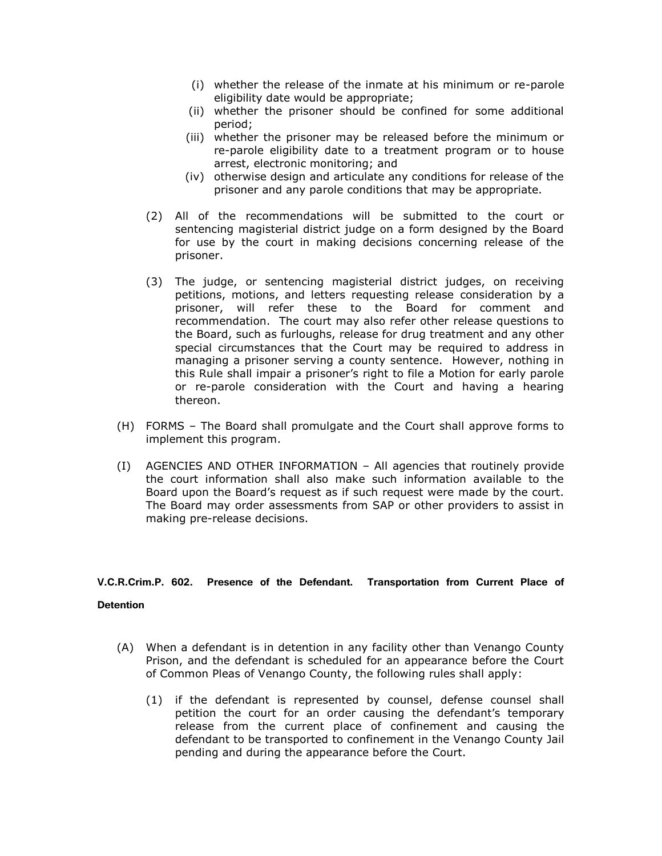- (i) whether the release of the inmate at his minimum or re-parole eligibility date would be appropriate;
- (ii) whether the prisoner should be confined for some additional period;
- (iii) whether the prisoner may be released before the minimum or re-parole eligibility date to a treatment program or to house arrest, electronic monitoring; and
- (iv) otherwise design and articulate any conditions for release of the prisoner and any parole conditions that may be appropriate.
- (2) All of the recommendations will be submitted to the court or sentencing magisterial district judge on a form designed by the Board for use by the court in making decisions concerning release of the prisoner.
- (3) The judge, or sentencing magisterial district judges, on receiving petitions, motions, and letters requesting release consideration by a prisoner, will refer these to the Board for comment and recommendation. The court may also refer other release questions to the Board, such as furloughs, release for drug treatment and any other special circumstances that the Court may be required to address in managing a prisoner serving a county sentence. However, nothing in this Rule shall impair a prisoner's right to file a Motion for early parole or re-parole consideration with the Court and having a hearing thereon.
- (H) FORMS The Board shall promulgate and the Court shall approve forms to implement this program.
- (I) AGENCIES AND OTHER INFORMATION All agencies that routinely provide the court information shall also make such information available to the Board upon the Board's request as if such request were made by the court. The Board may order assessments from SAP or other providers to assist in making pre-release decisions.

# **V.C.R.Crim.P. 602. Presence of the Defendant. Transportation from Current Place of**

#### **Detention**

- (A) When a defendant is in detention in any facility other than Venango County Prison, and the defendant is scheduled for an appearance before the Court of Common Pleas of Venango County, the following rules shall apply:
	- (1) if the defendant is represented by counsel, defense counsel shall petition the court for an order causing the defendant's temporary release from the current place of confinement and causing the defendant to be transported to confinement in the Venango County Jail pending and during the appearance before the Court.